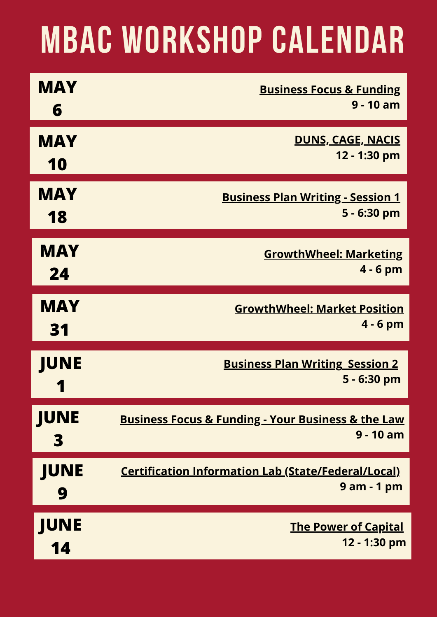## **MBAC WORKSHOP CALENDAR**

| <b>MAY</b>  | <b>Business Focus &amp; Funding</b>                               |
|-------------|-------------------------------------------------------------------|
| 6           | $9 - 10$ am                                                       |
| <b>MAY</b>  | <u>DUNS, CAGE, NACIS</u>                                          |
| 10          | 12 - 1:30 pm                                                      |
| <b>MAY</b>  | <b>Business Plan Writing - Session 1</b>                          |
| 18          | 5 - 6:30 pm                                                       |
| <b>MAY</b>  | <b>GrowthWheel: Marketing</b>                                     |
| 24          | $4 - 6$ pm                                                        |
| <b>MAY</b>  | <b>GrowthWheel: Market Position</b>                               |
| 31          | $4 - 6$ pm                                                        |
| <b>JUNE</b> | <b>Business Plan Writing Session 2</b><br>5 - 6:30 pm             |
| <b>JUNE</b> | <b>Business Focus &amp; Funding - Your Business &amp; the Law</b> |
| 3           | $9 - 10$ am                                                       |
| <b>JUNE</b> | <b>Certification Information Lab (State/Federal/Local)</b>        |
| 9           | 9 am - 1 pm                                                       |
| <b>JUNE</b> | <u>The Power of Capital</u>                                       |
| 14          | 12 - 1:30 pm                                                      |